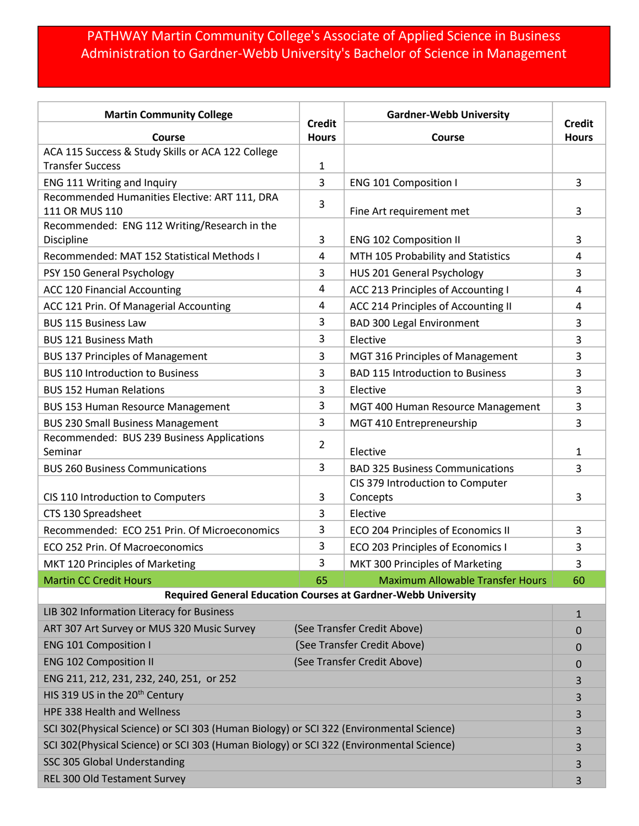## PATHWAY Martin Community College's Associate of Applied Science in Business Administration to Gardner-Webb University's Bachelor of Science in Management

| <b>Martin Community College</b>                                                         |                               | <b>Gardner-Webb University</b>               |                               |  |
|-----------------------------------------------------------------------------------------|-------------------------------|----------------------------------------------|-------------------------------|--|
| Course                                                                                  | <b>Credit</b><br><b>Hours</b> | Course                                       | <b>Credit</b><br><b>Hours</b> |  |
| ACA 115 Success & Study Skills or ACA 122 College                                       |                               |                                              |                               |  |
| <b>Transfer Success</b>                                                                 | 1                             |                                              |                               |  |
| ENG 111 Writing and Inquiry                                                             | 3                             | <b>ENG 101 Composition I</b>                 | 3                             |  |
| Recommended Humanities Elective: ART 111, DRA<br>111 OR MUS 110                         | 3                             | Fine Art requirement met                     | 3                             |  |
| Recommended: ENG 112 Writing/Research in the<br>Discipline                              | 3                             | <b>ENG 102 Composition II</b>                | 3                             |  |
| Recommended: MAT 152 Statistical Methods I                                              | 4                             | MTH 105 Probability and Statistics           | 4                             |  |
| PSY 150 General Psychology                                                              | 3                             | HUS 201 General Psychology                   | 3                             |  |
| ACC 120 Financial Accounting                                                            | 4                             | ACC 213 Principles of Accounting I           | 4                             |  |
| ACC 121 Prin. Of Managerial Accounting                                                  | 4                             | ACC 214 Principles of Accounting II          | 4                             |  |
| <b>BUS 115 Business Law</b>                                                             | 3                             | <b>BAD 300 Legal Environment</b>             | 3                             |  |
| <b>BUS 121 Business Math</b>                                                            | 3                             | Elective                                     | 3                             |  |
| <b>BUS 137 Principles of Management</b>                                                 | 3                             | MGT 316 Principles of Management             | 3                             |  |
| <b>BUS 110 Introduction to Business</b>                                                 | 3                             | <b>BAD 115 Introduction to Business</b>      | 3                             |  |
| <b>BUS 152 Human Relations</b>                                                          | 3                             | Elective                                     | 3                             |  |
| <b>BUS 153 Human Resource Management</b>                                                | 3                             | MGT 400 Human Resource Management            | 3                             |  |
| <b>BUS 230 Small Business Management</b>                                                | 3                             | MGT 410 Entrepreneurship                     | 3                             |  |
| Recommended: BUS 239 Business Applications                                              | 2                             |                                              |                               |  |
| Seminar                                                                                 |                               | Elective                                     | 1                             |  |
| <b>BUS 260 Business Communications</b>                                                  | 3                             | <b>BAD 325 Business Communications</b>       | 3                             |  |
| CIS 110 Introduction to Computers                                                       | 3                             | CIS 379 Introduction to Computer<br>Concepts | 3                             |  |
| CTS 130 Spreadsheet                                                                     | 3                             | Elective                                     |                               |  |
| Recommended: ECO 251 Prin. Of Microeconomics                                            | 3                             | ECO 204 Principles of Economics II           | 3                             |  |
| ECO 252 Prin. Of Macroeconomics                                                         | 3                             | ECO 203 Principles of Economics I            | 3                             |  |
| MKT 120 Principles of Marketing                                                         | 3                             | MKT 300 Principles of Marketing              | 3                             |  |
| <b>Martin CC Credit Hours</b>                                                           | 65                            | <b>Maximum Allowable Transfer Hours</b>      | 60                            |  |
| Required General Education Courses at Gardner-Webb University                           |                               |                                              |                               |  |
| LIB 302 Information Literacy for Business                                               |                               |                                              | $\mathbf{1}$                  |  |
| ART 307 Art Survey or MUS 320 Music Survey                                              | (See Transfer Credit Above)   |                                              | 0                             |  |
| <b>ENG 101 Composition I</b>                                                            |                               | (See Transfer Credit Above)                  | $\mathbf{0}$                  |  |
| <b>ENG 102 Composition II</b>                                                           | (See Transfer Credit Above)   |                                              | $\mathbf{0}$                  |  |
| ENG 211, 212, 231, 232, 240, 251, or 252                                                |                               |                                              | 3                             |  |
| HIS 319 US in the 20 <sup>th</sup> Century                                              |                               |                                              | 3                             |  |
| HPE 338 Health and Wellness                                                             |                               |                                              | 3                             |  |
| SCI 302(Physical Science) or SCI 303 (Human Biology) or SCI 322 (Environmental Science) |                               |                                              | 3                             |  |
| SCI 302(Physical Science) or SCI 303 (Human Biology) or SCI 322 (Environmental Science) |                               |                                              | 3                             |  |
| SSC 305 Global Understanding                                                            |                               |                                              | 3                             |  |
| REL 300 Old Testament Survey                                                            |                               |                                              | 3                             |  |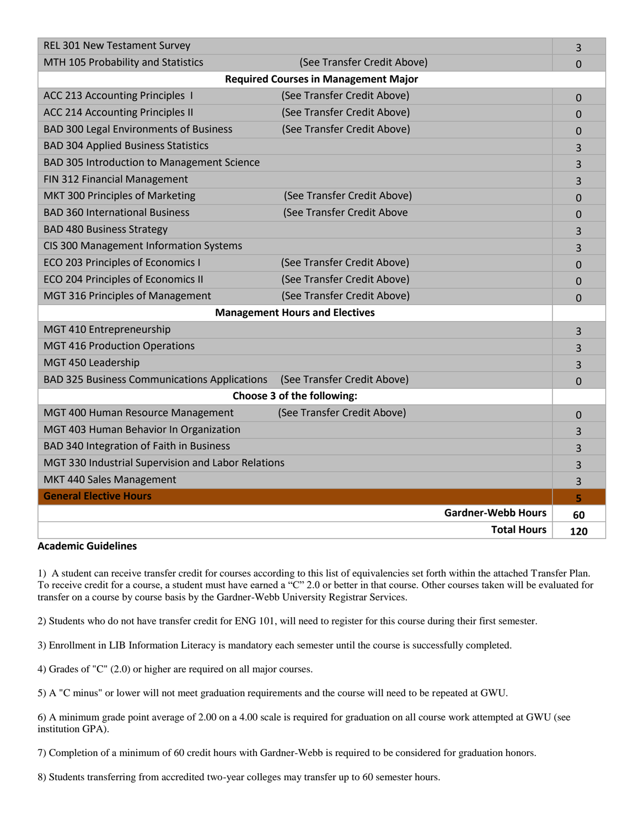| <b>REL 301 New Testament Survey</b>                 |                             | 3              |  |
|-----------------------------------------------------|-----------------------------|----------------|--|
| MTH 105 Probability and Statistics                  | (See Transfer Credit Above) | $\overline{0}$ |  |
| <b>Required Courses in Management Major</b>         |                             |                |  |
| ACC 213 Accounting Principles 1                     | (See Transfer Credit Above) | 0              |  |
| <b>ACC 214 Accounting Principles II</b>             | (See Transfer Credit Above) | $\overline{0}$ |  |
| <b>BAD 300 Legal Environments of Business</b>       | (See Transfer Credit Above) | 0              |  |
| <b>BAD 304 Applied Business Statistics</b>          |                             | 3              |  |
| BAD 305 Introduction to Management Science          |                             | 3              |  |
| FIN 312 Financial Management                        |                             | 3              |  |
| MKT 300 Principles of Marketing                     | (See Transfer Credit Above) | $\Omega$       |  |
| <b>BAD 360 International Business</b>               | (See Transfer Credit Above  | 0              |  |
| <b>BAD 480 Business Strategy</b>                    |                             | 3              |  |
| CIS 300 Management Information Systems              |                             | 3              |  |
| ECO 203 Principles of Economics I                   | (See Transfer Credit Above) | $\Omega$       |  |
| ECO 204 Principles of Economics II                  | (See Transfer Credit Above) | 0              |  |
| MGT 316 Principles of Management                    | (See Transfer Credit Above) | $\Omega$       |  |
| <b>Management Hours and Electives</b>               |                             |                |  |
| MGT 410 Entrepreneurship                            |                             | 3              |  |
| <b>MGT 416 Production Operations</b>                |                             | 3              |  |
| MGT 450 Leadership                                  |                             | 3              |  |
| <b>BAD 325 Business Communications Applications</b> | (See Transfer Credit Above) | 0              |  |
| Choose 3 of the following:                          |                             |                |  |
| MGT 400 Human Resource Management                   | (See Transfer Credit Above) | 0              |  |
| MGT 403 Human Behavior In Organization              |                             | 3              |  |
| BAD 340 Integration of Faith in Business            |                             | 3              |  |
| MGT 330 Industrial Supervision and Labor Relations  |                             | 3              |  |
| MKT 440 Sales Management                            |                             | 3              |  |
| <b>General Elective Hours</b>                       |                             | 5              |  |
|                                                     | <b>Gardner-Webb Hours</b>   | 60             |  |
|                                                     | <b>Total Hours</b>          | 120            |  |

## **Academic Guidelines**

1) A student can receive transfer credit for courses according to this list of equivalencies set forth within the attached Transfer Plan. To receive credit for a course, a student must have earned a "C" 2.0 or better in that course. Other courses taken will be evaluated for transfer on a course by course basis by the Gardner-Webb University Registrar Services.

2) Students who do not have transfer credit for ENG 101, will need to register for this course during their first semester.

3) Enrollment in LIB Information Literacy is mandatory each semester until the course is successfully completed.

4) Grades of "C" (2.0) or higher are required on all major courses.

5) A "C minus" or lower will not meet graduation requirements and the course will need to be repeated at GWU.

6) A minimum grade point average of 2.00 on a 4.00 scale is required for graduation on all course work attempted at GWU (see institution GPA).

7) Completion of a minimum of 60 credit hours with Gardner-Webb is required to be considered for graduation honors.

8) Students transferring from accredited two-year colleges may transfer up to 60 semester hours.